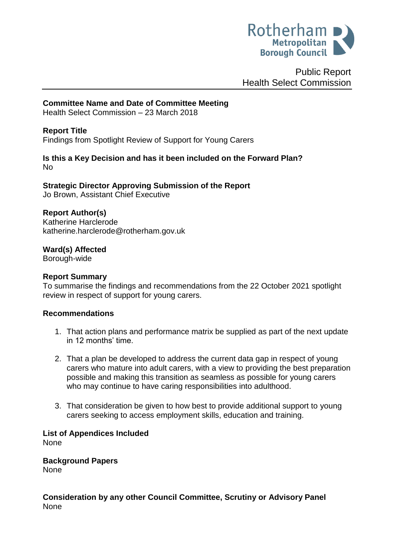

Public Report Health Select Commission

## **Committee Name and Date of Committee Meeting**

Health Select Commission – 23 March 2018

### **Report Title**

<span id="page-0-0"></span>Findings from Spotlight Review of Support for Young Carers

### **Is this a Key Decision and has it been included on the Forward Plan?**  No

**Strategic Director Approving Submission of the Report** Jo Brown, Assistant Chief Executive

### **Report Author(s)**

<span id="page-0-1"></span>Katherine Harclerode katherine.harclerode@rotherham.gov.uk

**Ward(s) Affected**

Borough-wide

#### **Report Summary**

To summarise the findings and recommendations from the 22 October 2021 spotlight review in respect of support for young carers.

#### **Recommendations**

- 1. That action plans and performance matrix be supplied as part of the next update in 12 months' time.
- 2. That a plan be developed to address the current data gap in respect of young carers who mature into adult carers, with a view to providing the best preparation possible and making this transition as seamless as possible for young carers who may continue to have caring responsibilities into adulthood.
- 3. That consideration be given to how best to provide additional support to young carers seeking to access employment skills, education and training.

# **List of Appendices Included**

None

**Background Papers** None

### **Consideration by any other Council Committee, Scrutiny or Advisory Panel** None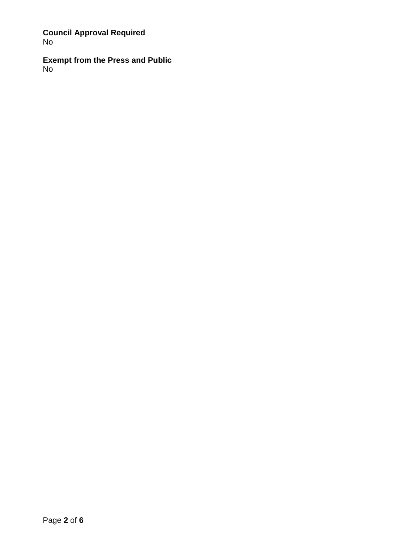**Council Approval Required** No

**Exempt from the Press and Public** No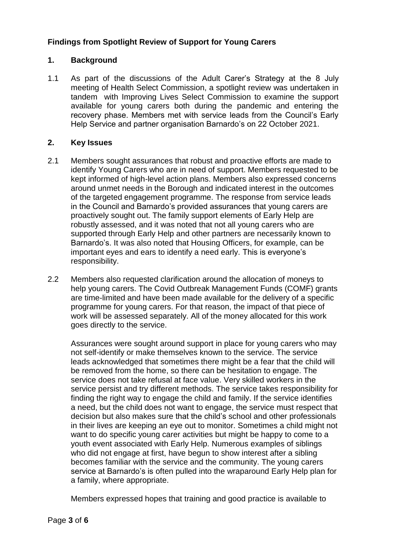# **[Findings from Spotlight Review of Support for Young Carers](#page-0-0)**

## **1. Background**

1.1 As part of the discussions of the Adult Carer's Strategy at the 8 July meeting of Health Select Commission, a spotlight review was undertaken in tandem with Improving Lives Select Commission to examine the support available for young carers both during the pandemic and entering the recovery phase. Members met with service leads from the Council's Early Help Service and partner organisation Barnardo's on 22 October 2021.

### **2. Key Issues**

- 2.1 Members sought assurances that robust and proactive efforts are made to identify Young Carers who are in need of support. Members requested to be kept informed of high-level action plans. Members also expressed concerns around unmet needs in the Borough and indicated interest in the outcomes of the targeted engagement programme. The response from service leads in the Council and Barnardo's provided assurances that young carers are proactively sought out. The family support elements of Early Help are robustly assessed, and it was noted that not all young carers who are supported through Early Help and other partners are necessarily known to Barnardo's. It was also noted that Housing Officers, for example, can be important eyes and ears to identify a need early. This is everyone's responsibility.
- 2.2 Members also requested clarification around the allocation of moneys to help young carers. The Covid Outbreak Management Funds (COMF) grants are time-limited and have been made available for the delivery of a specific programme for young carers. For that reason, the impact of that piece of work will be assessed separately. All of the money allocated for this work goes directly to the service.

Assurances were sought around support in place for young carers who may not self-identify or make themselves known to the service. The service leads acknowledged that sometimes there might be a fear that the child will be removed from the home, so there can be hesitation to engage. The service does not take refusal at face value. Very skilled workers in the service persist and try different methods. The service takes responsibility for finding the right way to engage the child and family. If the service identifies a need, but the child does not want to engage, the service must respect that decision but also makes sure that the child's school and other professionals in their lives are keeping an eye out to monitor. Sometimes a child might not want to do specific young carer activities but might be happy to come to a youth event associated with Early Help. Numerous examples of siblings who did not engage at first, have begun to show interest after a sibling becomes familiar with the service and the community. The young carers service at Barnardo's is often pulled into the wraparound Early Help plan for a family, where appropriate.

Members expressed hopes that training and good practice is available to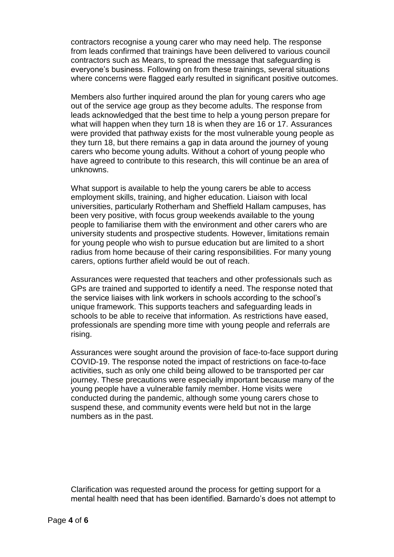contractors recognise a young carer who may need help. The response from leads confirmed that trainings have been delivered to various council contractors such as Mears, to spread the message that safeguarding is everyone's business. Following on from these trainings, several situations where concerns were flagged early resulted in significant positive outcomes.

Members also further inquired around the plan for young carers who age out of the service age group as they become adults. The response from leads acknowledged that the best time to help a young person prepare for what will happen when they turn 18 is when they are 16 or 17. Assurances were provided that pathway exists for the most vulnerable young people as they turn 18, but there remains a gap in data around the journey of young carers who become young adults. Without a cohort of young people who have agreed to contribute to this research, this will continue be an area of unknowns.

What support is available to help the young carers be able to access employment skills, training, and higher education. Liaison with local universities, particularly Rotherham and Sheffield Hallam campuses, has been very positive, with focus group weekends available to the young people to familiarise them with the environment and other carers who are university students and prospective students. However, limitations remain for young people who wish to pursue education but are limited to a short radius from home because of their caring responsibilities. For many young carers, options further afield would be out of reach.

Assurances were requested that teachers and other professionals such as GPs are trained and supported to identify a need. The response noted that the service liaises with link workers in schools according to the school's unique framework. This supports teachers and safeguarding leads in schools to be able to receive that information. As restrictions have eased, professionals are spending more time with young people and referrals are rising.

Assurances were sought around the provision of face-to-face support during COVID-19. The response noted the impact of restrictions on face-to-face activities, such as only one child being allowed to be transported per car journey. These precautions were especially important because many of the young people have a vulnerable family member. Home visits were conducted during the pandemic, although some young carers chose to suspend these, and community events were held but not in the large numbers as in the past.

Clarification was requested around the process for getting support for a mental health need that has been identified. Barnardo's does not attempt to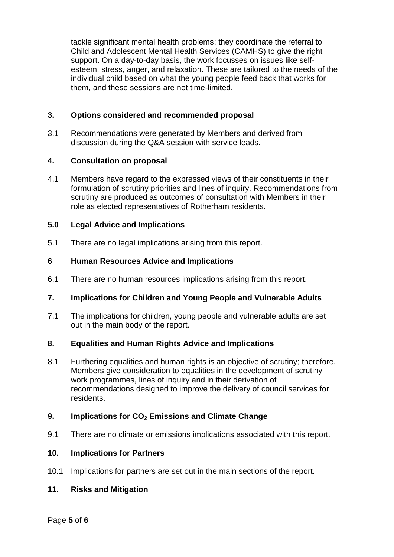tackle significant mental health problems; they coordinate the referral to Child and Adolescent Mental Health Services (CAMHS) to give the right support. On a day-to-day basis, the work focusses on issues like selfesteem, stress, anger, and relaxation. These are tailored to the needs of the individual child based on what the young people feed back that works for them, and these sessions are not time-limited.

## **3. Options considered and recommended proposal**

3.1 Recommendations were generated by Members and derived from discussion during the Q&A session with service leads.

### **4. Consultation on proposal**

4.1 Members have regard to the expressed views of their constituents in their formulation of scrutiny priorities and lines of inquiry. Recommendations from scrutiny are produced as outcomes of consultation with Members in their role as elected representatives of Rotherham residents.

### **5.0 Legal Advice and Implications**

5.1 There are no legal implications arising from this report.

### **6 Human Resources Advice and Implications**

6.1 There are no human resources implications arising from this report.

### **7. Implications for Children and Young People and Vulnerable Adults**

7.1 The implications for children, young people and vulnerable adults are set out in the main body of the report.

### **8. Equalities and Human Rights Advice and Implications**

8.1 Furthering equalities and human rights is an objective of scrutiny; therefore, Members give consideration to equalities in the development of scrutiny work programmes, lines of inquiry and in their derivation of recommendations designed to improve the delivery of council services for residents.

### **9. Implications for CO<sup>2</sup> Emissions and Climate Change**

9.1 There are no climate or emissions implications associated with this report.

#### **10. Implications for Partners**

10.1 Implications for partners are set out in the main sections of the report.

## **11. Risks and Mitigation**